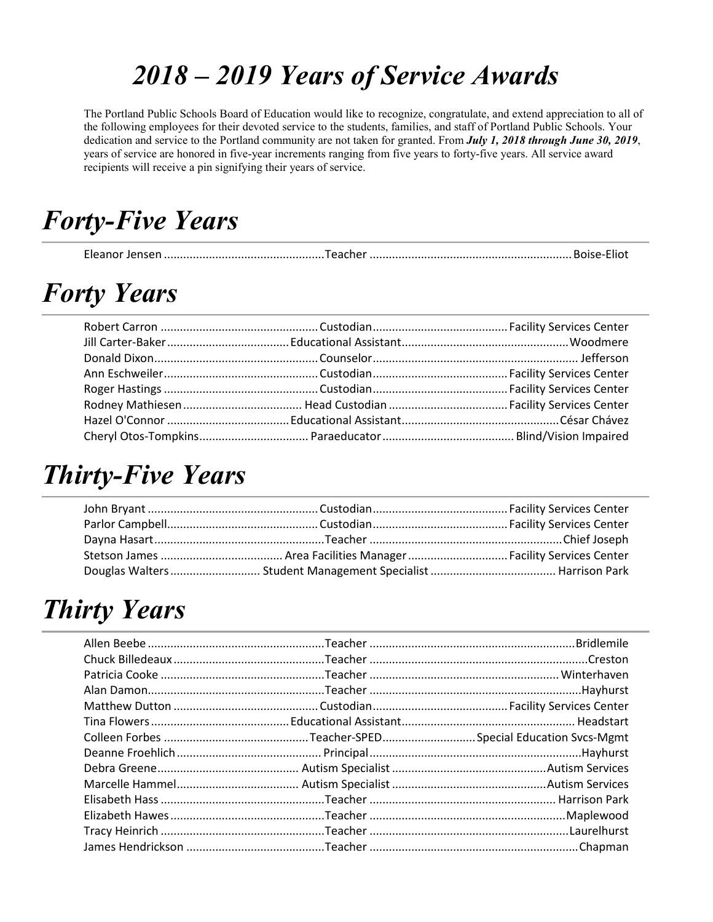### *2018 – 2019 Years of Service Awards*

The Portland Public Schools Board of Education would like to recognize, congratulate, and extend appreciation to all of the following employees for their devoted service to the students, families, and staff of Portland Public Schools. Your dedication and service to the Portland community are not taken for granted. From *July 1, 2018 through June 30, 2019*, years of service are honored in five-year increments ranging from five years to forty-five years. All service award recipients will receive a pin signifying their years of service.

#### *Forty-Five Years*

|--|--|--|

### *Forty Years*

#### *Thirty-Five Years*

### *Thirty Years*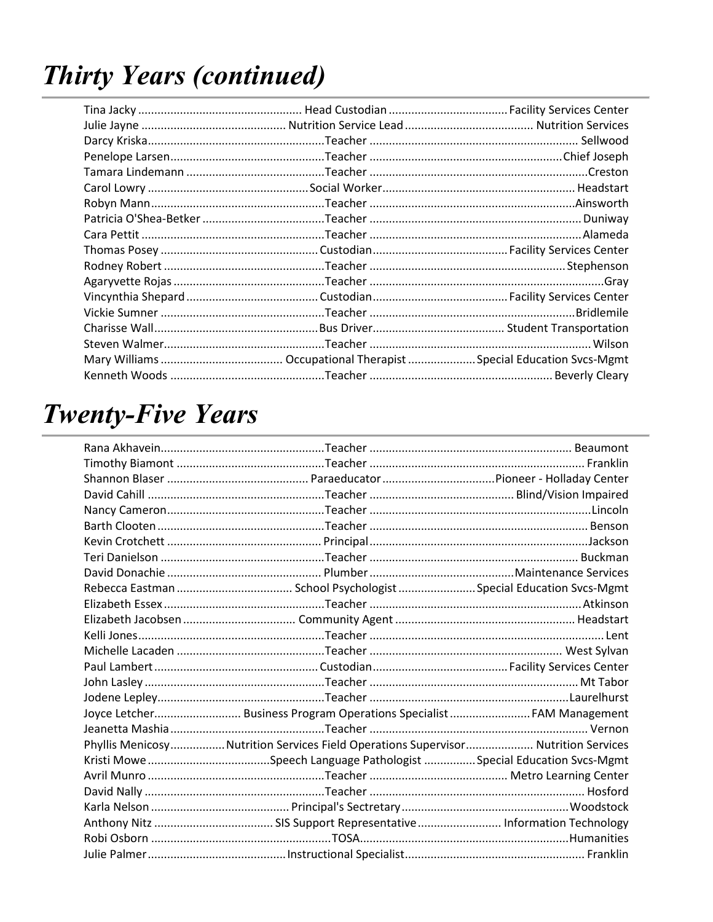# **Thirty Years (continued)**

#### **Twenty-Five Years**

| Joyce Letcher Business Program Operations Specialist  FAM Management              |  |
|-----------------------------------------------------------------------------------|--|
|                                                                                   |  |
| Phyllis MenicosyNutrition Services Field Operations Supervisor Nutrition Services |  |
|                                                                                   |  |
|                                                                                   |  |
|                                                                                   |  |
|                                                                                   |  |
|                                                                                   |  |
|                                                                                   |  |
|                                                                                   |  |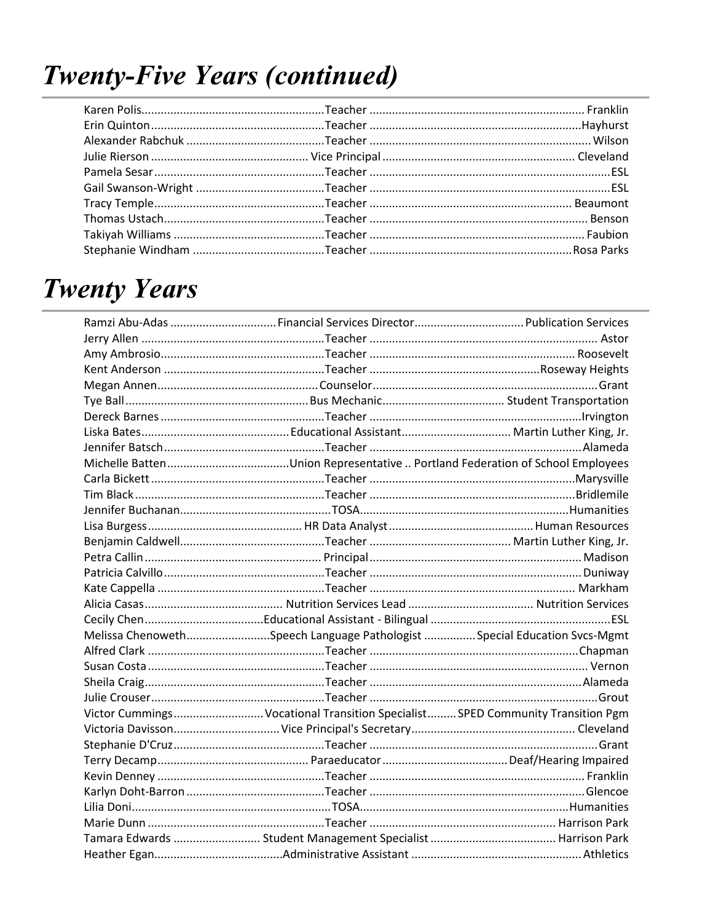### **Twenty-Five Years (continued)**

### **Twenty Years**

| Melissa ChenowethSpeech Language Pathologist Special Education Svcs-Mgmt       |  |
|--------------------------------------------------------------------------------|--|
|                                                                                |  |
|                                                                                |  |
|                                                                                |  |
|                                                                                |  |
| Victor Cummings Vocational Transition Specialist SPED Community Transition Pgm |  |
|                                                                                |  |
|                                                                                |  |
|                                                                                |  |
|                                                                                |  |
|                                                                                |  |
|                                                                                |  |
|                                                                                |  |
|                                                                                |  |
|                                                                                |  |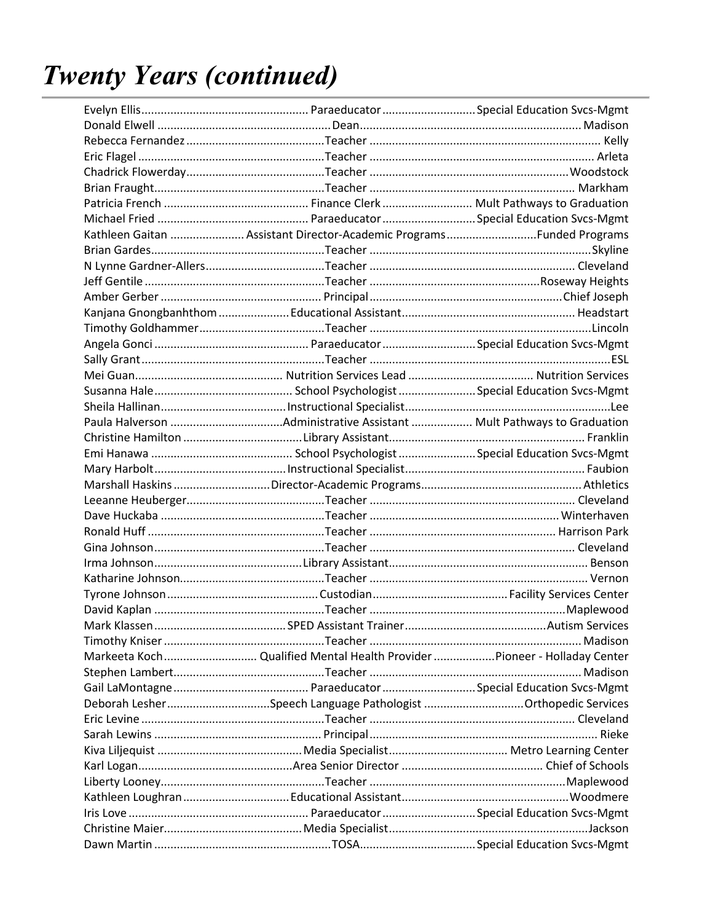| Kathleen Gaitan  Assistant Director-Academic Programs Funded Programs     |  |
|---------------------------------------------------------------------------|--|
|                                                                           |  |
|                                                                           |  |
|                                                                           |  |
|                                                                           |  |
|                                                                           |  |
|                                                                           |  |
|                                                                           |  |
|                                                                           |  |
|                                                                           |  |
|                                                                           |  |
|                                                                           |  |
|                                                                           |  |
|                                                                           |  |
|                                                                           |  |
|                                                                           |  |
|                                                                           |  |
|                                                                           |  |
|                                                                           |  |
|                                                                           |  |
|                                                                           |  |
|                                                                           |  |
|                                                                           |  |
|                                                                           |  |
|                                                                           |  |
|                                                                           |  |
|                                                                           |  |
| Markeeta Koch  Qualified Mental Health Provider Pioneer - Holladay Center |  |
|                                                                           |  |
|                                                                           |  |
| Deborah LesherSpeech Language Pathologist Orthopedic Services             |  |
|                                                                           |  |
|                                                                           |  |
|                                                                           |  |
|                                                                           |  |
|                                                                           |  |
|                                                                           |  |
|                                                                           |  |
|                                                                           |  |
|                                                                           |  |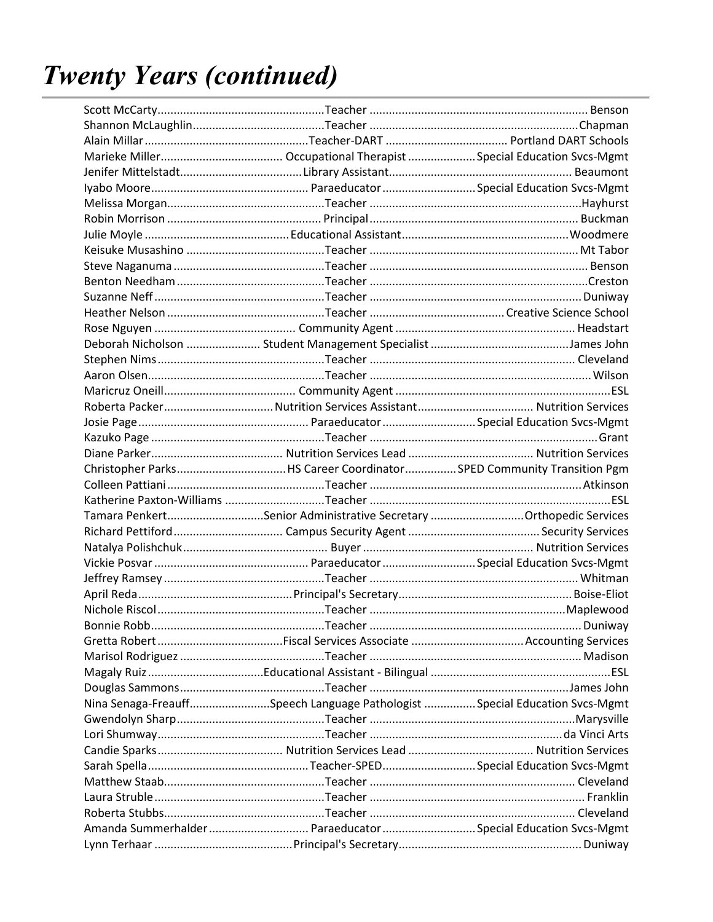| Tamara PenkertSenior Administrative Secretary Orthopedic Services          |  |
|----------------------------------------------------------------------------|--|
|                                                                            |  |
|                                                                            |  |
|                                                                            |  |
|                                                                            |  |
|                                                                            |  |
|                                                                            |  |
|                                                                            |  |
|                                                                            |  |
|                                                                            |  |
|                                                                            |  |
|                                                                            |  |
| Nina Senaga-FreauffSpeech Language Pathologist Special Education Svcs-Mgmt |  |
|                                                                            |  |
|                                                                            |  |
|                                                                            |  |
|                                                                            |  |
|                                                                            |  |
|                                                                            |  |
|                                                                            |  |
|                                                                            |  |
|                                                                            |  |
| Amanda Summerhalder  Paraeducator  Special Education Svcs-Mgmt             |  |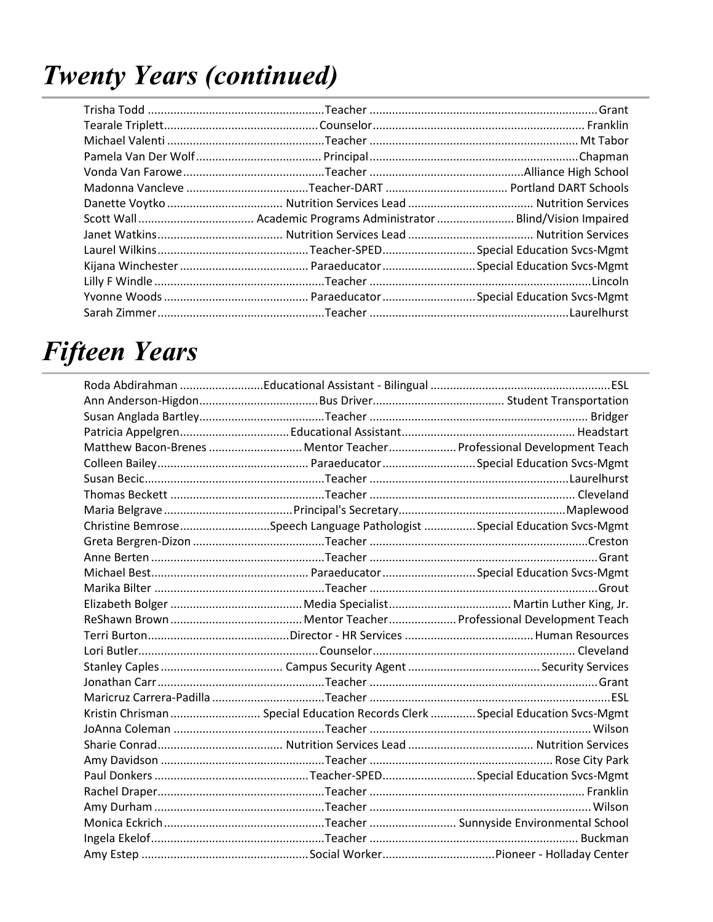### *Fifteen Years*

| Matthew Bacon-Brenes  Mentor Teacher  Professional Development Teach           |  |
|--------------------------------------------------------------------------------|--|
|                                                                                |  |
|                                                                                |  |
|                                                                                |  |
|                                                                                |  |
| Christine BemroseSpeech Language Pathologist Special Education Svcs-Mgmt       |  |
|                                                                                |  |
|                                                                                |  |
|                                                                                |  |
|                                                                                |  |
|                                                                                |  |
|                                                                                |  |
|                                                                                |  |
|                                                                                |  |
|                                                                                |  |
|                                                                                |  |
|                                                                                |  |
| Kristin Chrisman  Special Education Records Clerk  Special Education Svcs-Mgmt |  |
|                                                                                |  |
|                                                                                |  |
|                                                                                |  |
|                                                                                |  |
|                                                                                |  |
|                                                                                |  |
|                                                                                |  |
|                                                                                |  |
|                                                                                |  |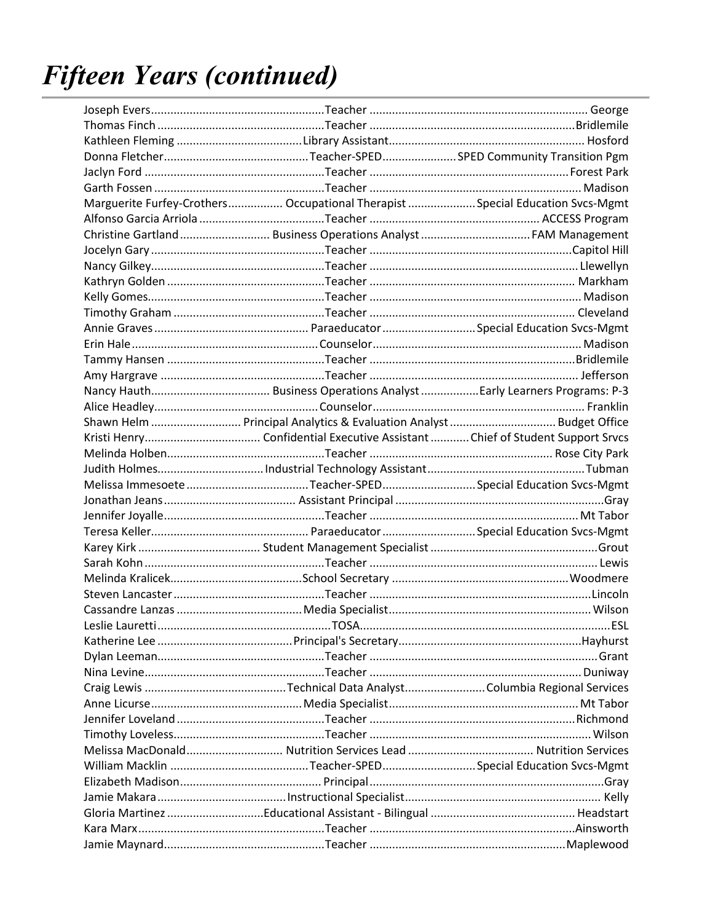## **Fifteen Years (continued)**

|                 | Marguerite Furfey-Crothers Occupational Therapist  Special Education Svcs-Mgmt |            |
|-----------------|--------------------------------------------------------------------------------|------------|
|                 |                                                                                |            |
|                 | Christine Gartland  Business Operations Analyst  FAM Management                |            |
|                 |                                                                                |            |
|                 |                                                                                |            |
|                 |                                                                                |            |
|                 |                                                                                |            |
|                 |                                                                                |            |
|                 |                                                                                |            |
|                 |                                                                                |            |
|                 |                                                                                |            |
|                 |                                                                                |            |
|                 |                                                                                |            |
|                 |                                                                                |            |
|                 | Shawn Helm  Principal Analytics & Evaluation Analyst  Budget Office            |            |
|                 |                                                                                |            |
|                 |                                                                                |            |
|                 |                                                                                |            |
|                 |                                                                                |            |
|                 |                                                                                |            |
|                 |                                                                                |            |
|                 |                                                                                |            |
|                 |                                                                                |            |
|                 |                                                                                |            |
|                 |                                                                                |            |
|                 |                                                                                |            |
|                 |                                                                                |            |
| Leslie Lauretti |                                                                                | <b>FSL</b> |
|                 |                                                                                |            |
|                 |                                                                                |            |
|                 |                                                                                |            |
|                 |                                                                                |            |
|                 |                                                                                |            |
|                 |                                                                                |            |
|                 |                                                                                |            |
|                 |                                                                                |            |
|                 |                                                                                |            |
|                 |                                                                                |            |
|                 |                                                                                |            |
|                 |                                                                                |            |
|                 |                                                                                |            |
|                 |                                                                                |            |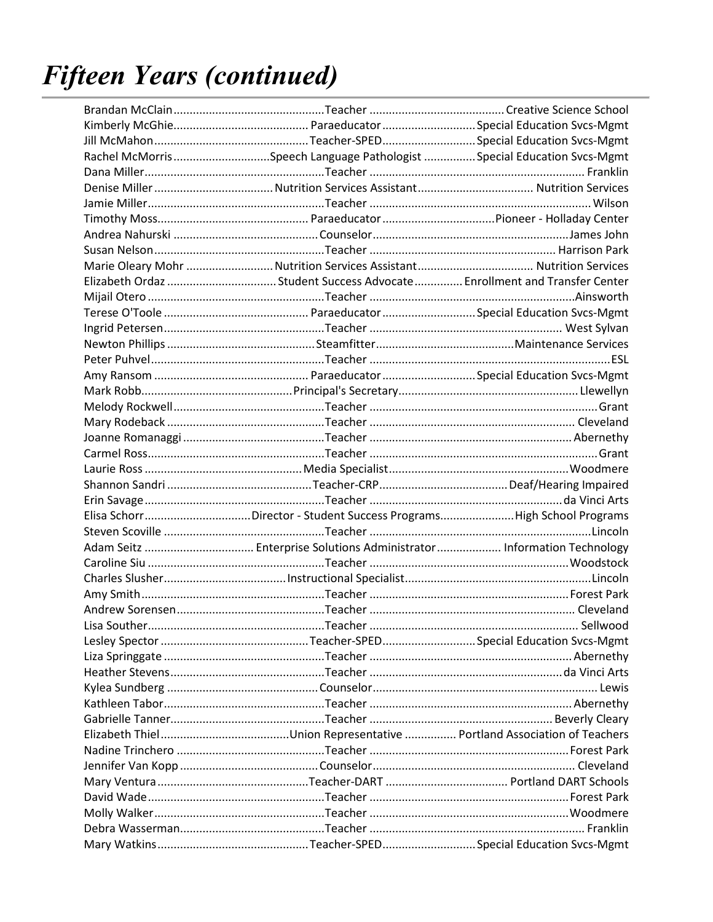## **Fifteen Years (continued)**

|               | Rachel McMorrisSpeech Language Pathologist Special Education Svcs-Mgmt   |  |
|---------------|--------------------------------------------------------------------------|--|
|               |                                                                          |  |
|               |                                                                          |  |
|               |                                                                          |  |
|               |                                                                          |  |
|               |                                                                          |  |
|               |                                                                          |  |
|               |                                                                          |  |
|               | Elizabeth Ordaz Student Success Advocate  Enrollment and Transfer Center |  |
|               |                                                                          |  |
|               |                                                                          |  |
|               |                                                                          |  |
|               |                                                                          |  |
|               |                                                                          |  |
|               |                                                                          |  |
|               |                                                                          |  |
|               |                                                                          |  |
|               |                                                                          |  |
|               |                                                                          |  |
|               |                                                                          |  |
|               |                                                                          |  |
|               |                                                                          |  |
|               |                                                                          |  |
|               |                                                                          |  |
|               | Elisa SchorrDirector - Student Success ProgramsHigh School Programs      |  |
|               |                                                                          |  |
|               | Adam Seitz  Enterprise Solutions Administrator  Information Technology   |  |
|               |                                                                          |  |
|               |                                                                          |  |
|               |                                                                          |  |
|               |                                                                          |  |
| Lisa Souther. |                                                                          |  |
|               |                                                                          |  |
|               |                                                                          |  |
|               |                                                                          |  |
|               |                                                                          |  |
|               |                                                                          |  |
|               |                                                                          |  |
|               |                                                                          |  |
|               |                                                                          |  |
|               |                                                                          |  |
|               |                                                                          |  |
|               |                                                                          |  |
|               |                                                                          |  |
|               |                                                                          |  |
|               |                                                                          |  |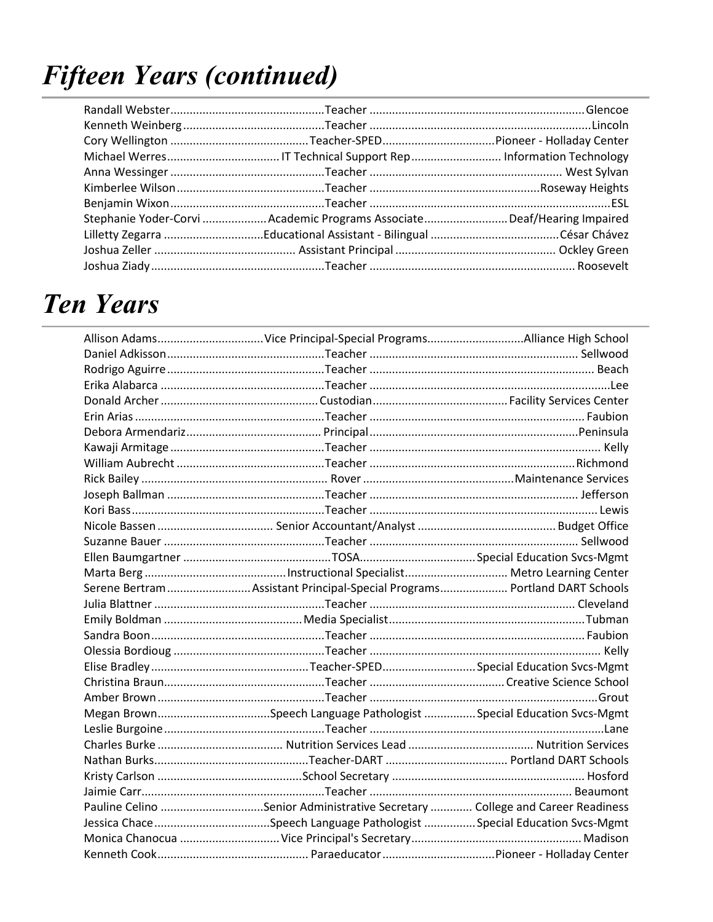## **Fifteen Years (continued)**

| Stephanie Yoder-Corvi Academic Programs AssociateDeaf/Hearing Impaired |  |
|------------------------------------------------------------------------|--|
|                                                                        |  |
|                                                                        |  |
|                                                                        |  |

### **Ten Years**

| Serene Bertram  Assistant Principal-Special Programs  Portland DART Schools  |  |
|------------------------------------------------------------------------------|--|
|                                                                              |  |
|                                                                              |  |
|                                                                              |  |
|                                                                              |  |
|                                                                              |  |
|                                                                              |  |
|                                                                              |  |
| Megan BrownSpeech Language Pathologist Special Education Svcs-Mgmt           |  |
|                                                                              |  |
|                                                                              |  |
|                                                                              |  |
|                                                                              |  |
|                                                                              |  |
| Pauline Celino Senior Administrative Secretary  College and Career Readiness |  |
|                                                                              |  |
|                                                                              |  |
|                                                                              |  |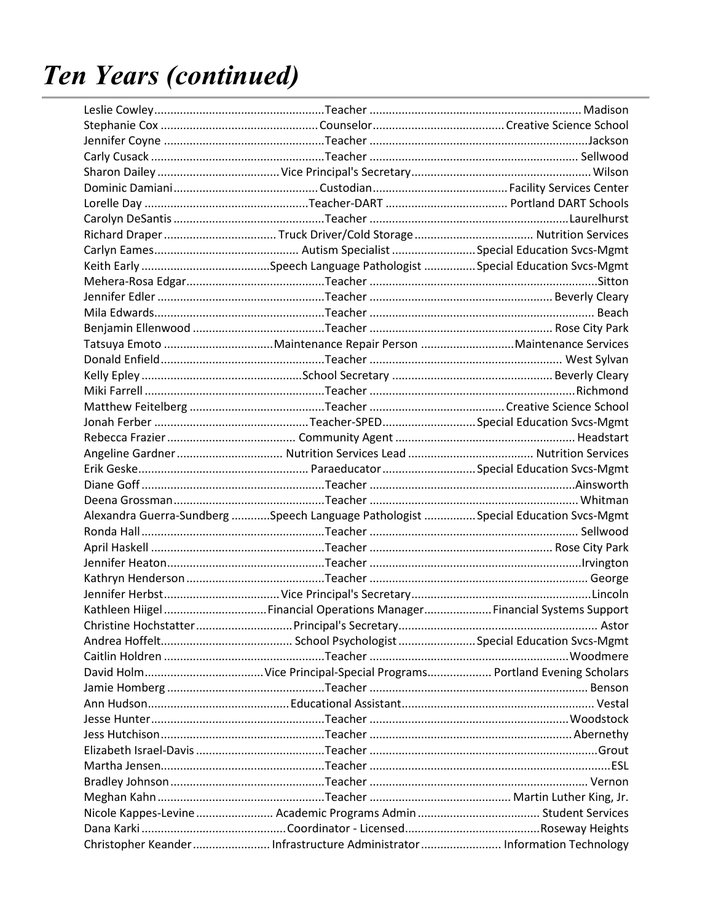| Alexandra Guerra-Sundberg Speech Language Pathologist Special Education Svcs-Mgmt |  |
|-----------------------------------------------------------------------------------|--|
|                                                                                   |  |
|                                                                                   |  |
|                                                                                   |  |
|                                                                                   |  |
|                                                                                   |  |
| Kathleen Hiigel  Financial Operations Manager  Financial Systems Support          |  |
|                                                                                   |  |
|                                                                                   |  |
|                                                                                   |  |
|                                                                                   |  |
|                                                                                   |  |
|                                                                                   |  |
|                                                                                   |  |
|                                                                                   |  |
|                                                                                   |  |
|                                                                                   |  |
|                                                                                   |  |
|                                                                                   |  |
|                                                                                   |  |
| Christopher Keander  Infrastructure Administrator  Information Technology         |  |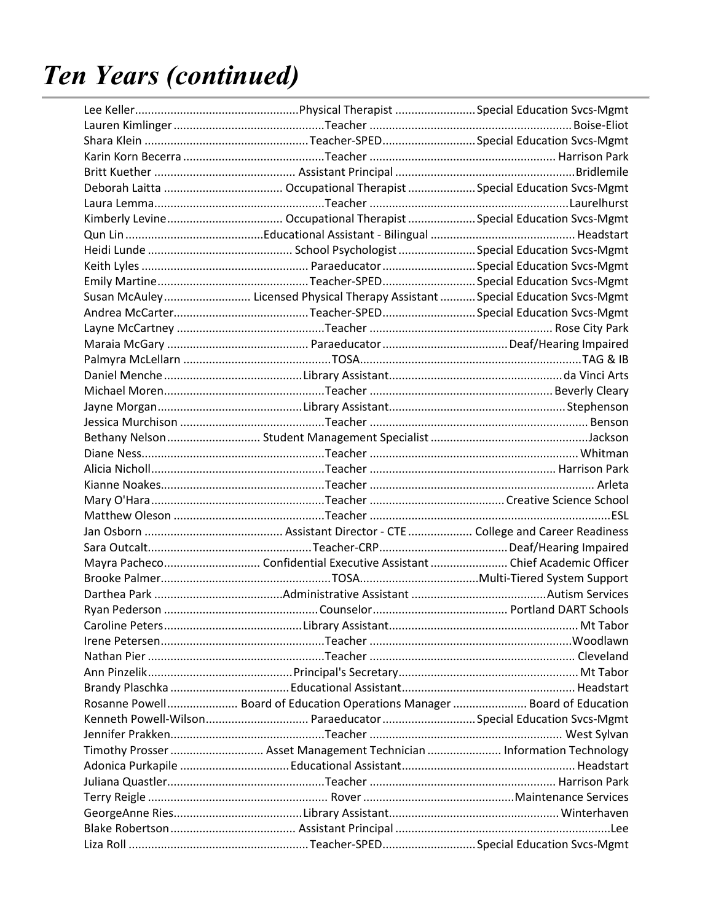| Susan McAuley Licensed Physical Therapy Assistant  Special Education Svcs-Mgmt |  |
|--------------------------------------------------------------------------------|--|
|                                                                                |  |
|                                                                                |  |
|                                                                                |  |
|                                                                                |  |
|                                                                                |  |
|                                                                                |  |
|                                                                                |  |
|                                                                                |  |
|                                                                                |  |
|                                                                                |  |
|                                                                                |  |
|                                                                                |  |
|                                                                                |  |
|                                                                                |  |
|                                                                                |  |
|                                                                                |  |
| Mayra Pacheco Confidential Executive Assistant  Chief Academic Officer         |  |
|                                                                                |  |
|                                                                                |  |
|                                                                                |  |
|                                                                                |  |
|                                                                                |  |
|                                                                                |  |
|                                                                                |  |
|                                                                                |  |
| Rosanne Powell Board of Education Operations Manager  Board of Education       |  |
| Kenneth Powell-Wilson ParaeducatorSpecial Education Svcs-Mgmt                  |  |
|                                                                                |  |
| Timothy Prosser  Asset Management Technician  Information Technology           |  |
|                                                                                |  |
|                                                                                |  |
|                                                                                |  |
|                                                                                |  |
|                                                                                |  |
|                                                                                |  |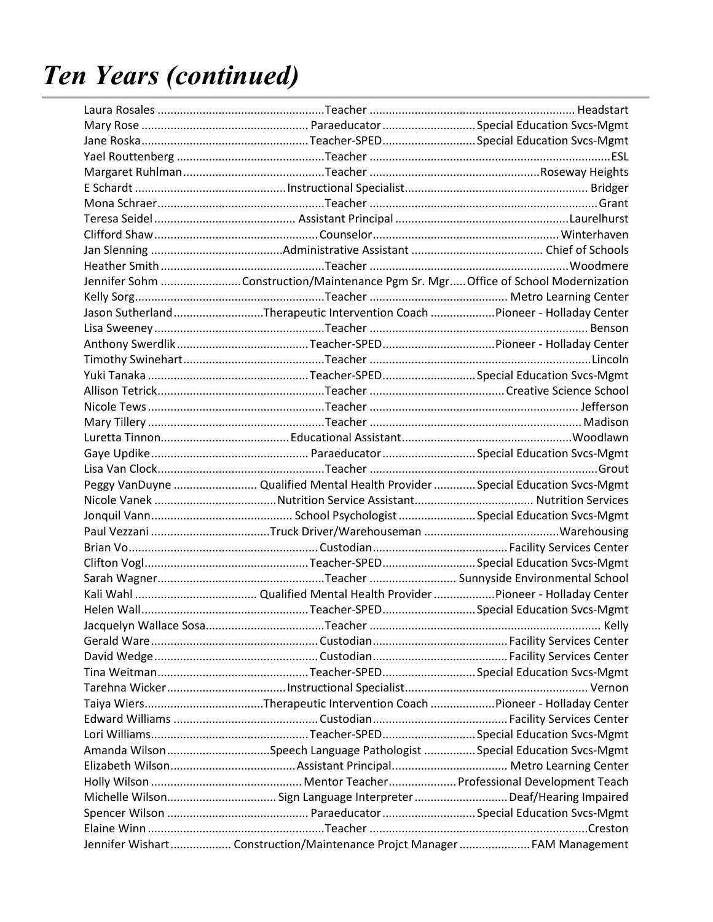| Jennifer Sohm Construction/Maintenance Pgm Sr. Mgr Office of School Modernization |  |
|-----------------------------------------------------------------------------------|--|
|                                                                                   |  |
| Jason SutherlandTherapeutic Intervention Coach Pioneer - Holladay Center          |  |
|                                                                                   |  |
|                                                                                   |  |
|                                                                                   |  |
|                                                                                   |  |
|                                                                                   |  |
|                                                                                   |  |
|                                                                                   |  |
|                                                                                   |  |
|                                                                                   |  |
|                                                                                   |  |
| Peggy VanDuyne  Qualified Mental Health Provider  Special Education Svcs-Mgmt     |  |
|                                                                                   |  |
|                                                                                   |  |
|                                                                                   |  |
|                                                                                   |  |
|                                                                                   |  |
|                                                                                   |  |
|                                                                                   |  |
|                                                                                   |  |
|                                                                                   |  |
|                                                                                   |  |
|                                                                                   |  |
|                                                                                   |  |
|                                                                                   |  |
|                                                                                   |  |
|                                                                                   |  |
|                                                                                   |  |
| Amanda WilsonSpeech Language Pathologist Special Education Svcs-Mgmt              |  |
|                                                                                   |  |
|                                                                                   |  |
| Michelle Wilson Sign Language Interpreter Deaf/Hearing Impaired                   |  |
|                                                                                   |  |
|                                                                                   |  |
| Jennifer Wishart Construction/Maintenance Projct Manager FAM Management           |  |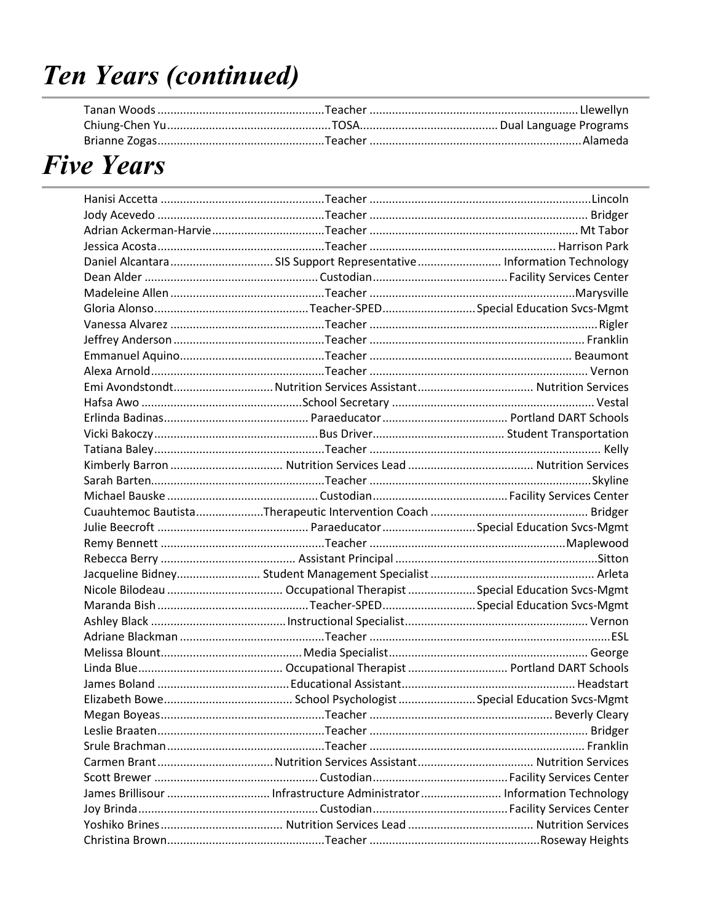### **Five Years**

| Daniel Alcantara SIS Support Representative Information Technology |  |
|--------------------------------------------------------------------|--|
|                                                                    |  |
|                                                                    |  |
|                                                                    |  |
|                                                                    |  |
|                                                                    |  |
|                                                                    |  |
|                                                                    |  |
|                                                                    |  |
|                                                                    |  |
|                                                                    |  |
|                                                                    |  |
|                                                                    |  |
|                                                                    |  |
|                                                                    |  |
|                                                                    |  |
|                                                                    |  |
|                                                                    |  |
|                                                                    |  |
|                                                                    |  |
|                                                                    |  |
|                                                                    |  |
|                                                                    |  |
|                                                                    |  |
|                                                                    |  |
|                                                                    |  |
|                                                                    |  |
|                                                                    |  |
|                                                                    |  |
|                                                                    |  |
|                                                                    |  |
|                                                                    |  |
|                                                                    |  |
|                                                                    |  |
|                                                                    |  |
|                                                                    |  |
|                                                                    |  |
|                                                                    |  |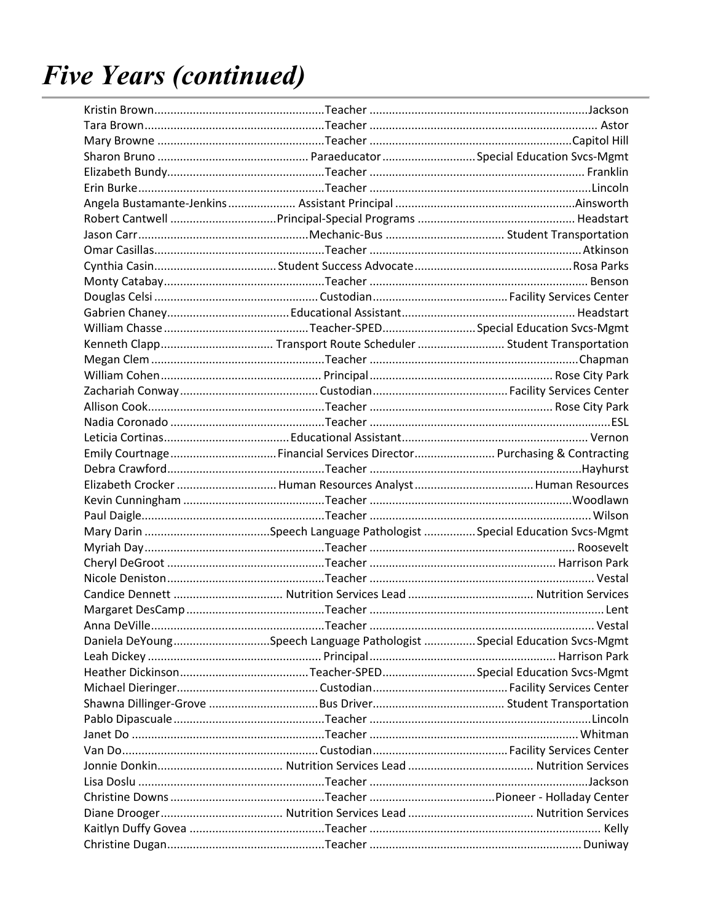| Emily Courtnage Financial Services Director Purchasing & Contracting                                        |  |
|-------------------------------------------------------------------------------------------------------------|--|
|                                                                                                             |  |
|                                                                                                             |  |
|                                                                                                             |  |
|                                                                                                             |  |
|                                                                                                             |  |
|                                                                                                             |  |
|                                                                                                             |  |
|                                                                                                             |  |
|                                                                                                             |  |
|                                                                                                             |  |
| لـVestal للمستحدث المستحدث المستحدث المستحدث المستحدث المستحدث المستحدث المستحدث المستحدث المستحدث المستحدث |  |
| Daniela DeYoungSpeech Language Pathologist Special Education Svcs-Mgmt                                      |  |
|                                                                                                             |  |
|                                                                                                             |  |
|                                                                                                             |  |
|                                                                                                             |  |
|                                                                                                             |  |
|                                                                                                             |  |
|                                                                                                             |  |
|                                                                                                             |  |
|                                                                                                             |  |
|                                                                                                             |  |
|                                                                                                             |  |
|                                                                                                             |  |
|                                                                                                             |  |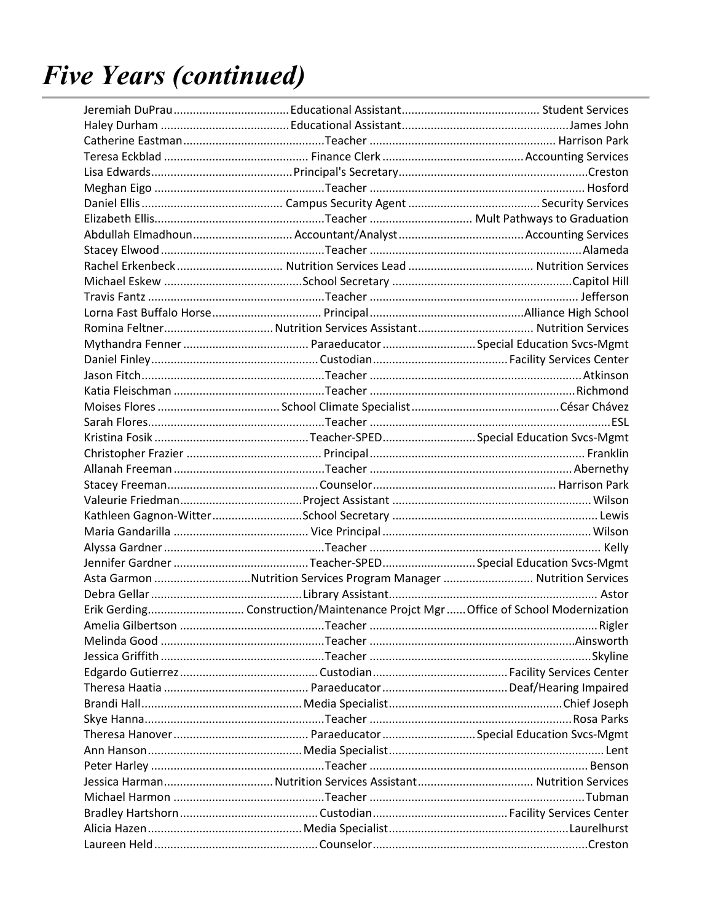| Asta Garmon Nutrition Services Program Manager  Nutrition Services |  |
|--------------------------------------------------------------------|--|
|                                                                    |  |
|                                                                    |  |
|                                                                    |  |
|                                                                    |  |
|                                                                    |  |
|                                                                    |  |
|                                                                    |  |
|                                                                    |  |
|                                                                    |  |
|                                                                    |  |
|                                                                    |  |
|                                                                    |  |
|                                                                    |  |
|                                                                    |  |
|                                                                    |  |
|                                                                    |  |
|                                                                    |  |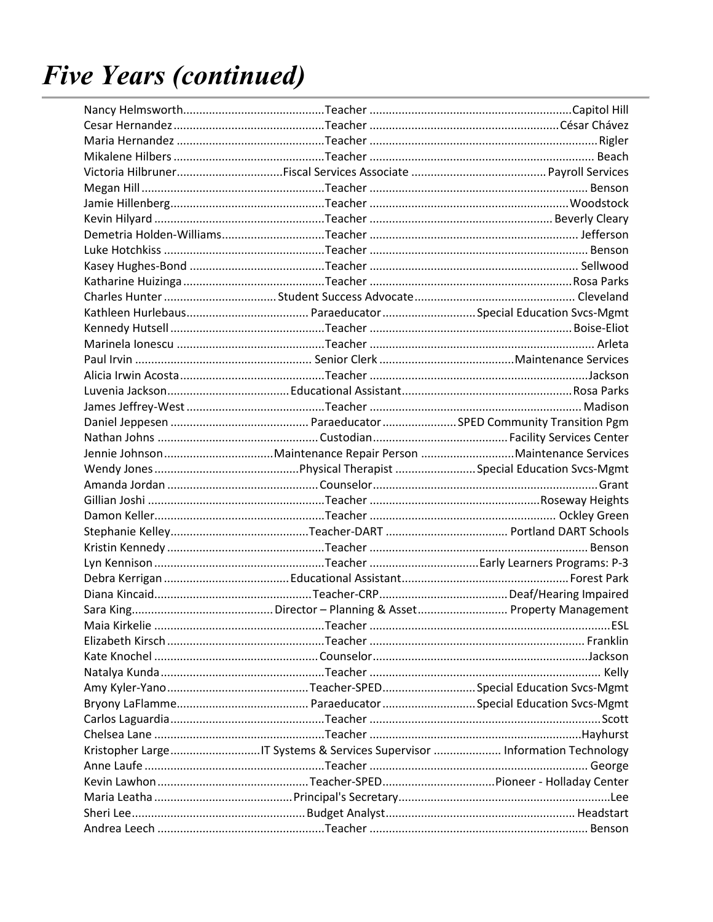|                                                                          | ESL. |
|--------------------------------------------------------------------------|------|
|                                                                          |      |
|                                                                          |      |
|                                                                          |      |
|                                                                          |      |
|                                                                          |      |
|                                                                          |      |
|                                                                          |      |
| Kristopher LargeIT Systems & Services Supervisor  Information Technology |      |
|                                                                          |      |
|                                                                          |      |
|                                                                          |      |
|                                                                          |      |
|                                                                          |      |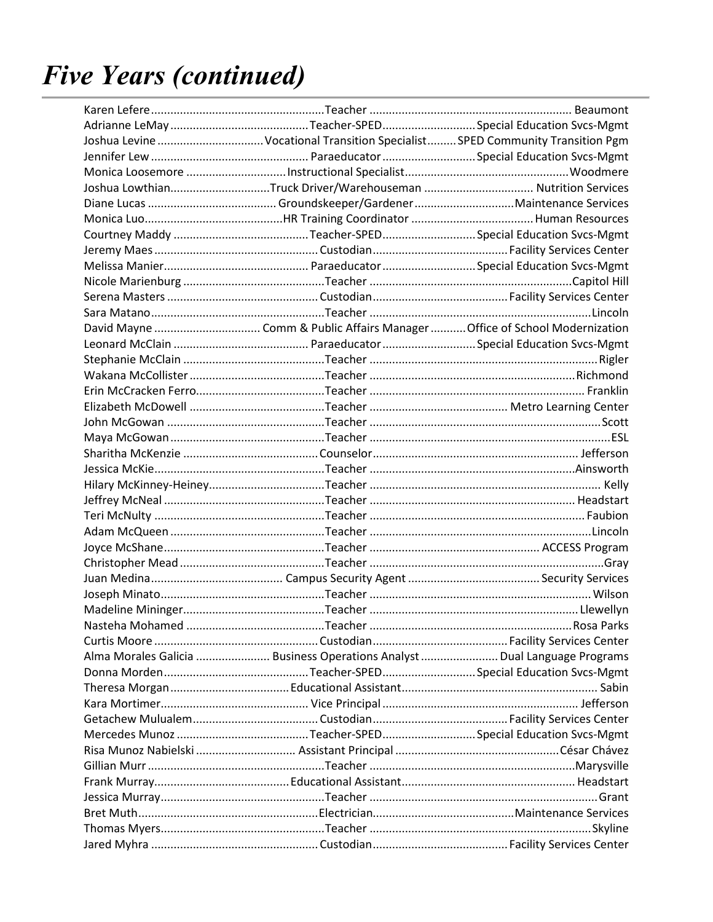| Joshua Levine  Vocational Transition Specialist  SPED Community Transition Pgm |  |
|--------------------------------------------------------------------------------|--|
|                                                                                |  |
|                                                                                |  |
| Joshua LowthianTruck Driver/Warehouseman  Nutrition Services                   |  |
|                                                                                |  |
|                                                                                |  |
|                                                                                |  |
|                                                                                |  |
|                                                                                |  |
|                                                                                |  |
|                                                                                |  |
|                                                                                |  |
|                                                                                |  |
|                                                                                |  |
|                                                                                |  |
|                                                                                |  |
|                                                                                |  |
|                                                                                |  |
|                                                                                |  |
|                                                                                |  |
|                                                                                |  |
|                                                                                |  |
|                                                                                |  |
|                                                                                |  |
|                                                                                |  |
|                                                                                |  |
|                                                                                |  |
|                                                                                |  |
|                                                                                |  |
|                                                                                |  |
|                                                                                |  |
|                                                                                |  |
|                                                                                |  |
| Alma Morales Galicia  Business Operations Analyst  Dual Language Programs      |  |
|                                                                                |  |
|                                                                                |  |
|                                                                                |  |
|                                                                                |  |
|                                                                                |  |
|                                                                                |  |
|                                                                                |  |
|                                                                                |  |
|                                                                                |  |
|                                                                                |  |
|                                                                                |  |
|                                                                                |  |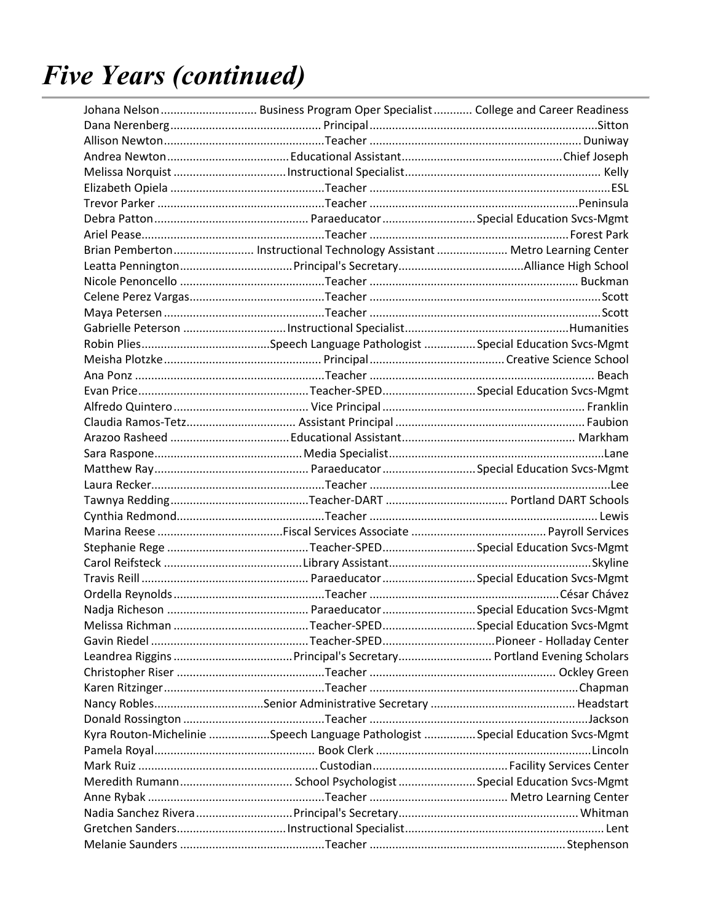| Johana Nelson  Business Program Oper Specialist  College and Career Readiness  |  |
|--------------------------------------------------------------------------------|--|
|                                                                                |  |
|                                                                                |  |
|                                                                                |  |
|                                                                                |  |
|                                                                                |  |
|                                                                                |  |
|                                                                                |  |
|                                                                                |  |
| Brian Pemberton Instructional Technology Assistant Metro Learning Center       |  |
|                                                                                |  |
|                                                                                |  |
|                                                                                |  |
|                                                                                |  |
|                                                                                |  |
|                                                                                |  |
|                                                                                |  |
|                                                                                |  |
|                                                                                |  |
|                                                                                |  |
|                                                                                |  |
|                                                                                |  |
|                                                                                |  |
|                                                                                |  |
|                                                                                |  |
|                                                                                |  |
|                                                                                |  |
|                                                                                |  |
|                                                                                |  |
|                                                                                |  |
|                                                                                |  |
|                                                                                |  |
|                                                                                |  |
|                                                                                |  |
|                                                                                |  |
|                                                                                |  |
|                                                                                |  |
|                                                                                |  |
|                                                                                |  |
|                                                                                |  |
| Kyra Routon-Michelinie Speech Language Pathologist Special Education Svcs-Mgmt |  |
|                                                                                |  |
|                                                                                |  |
|                                                                                |  |
|                                                                                |  |
|                                                                                |  |
|                                                                                |  |
|                                                                                |  |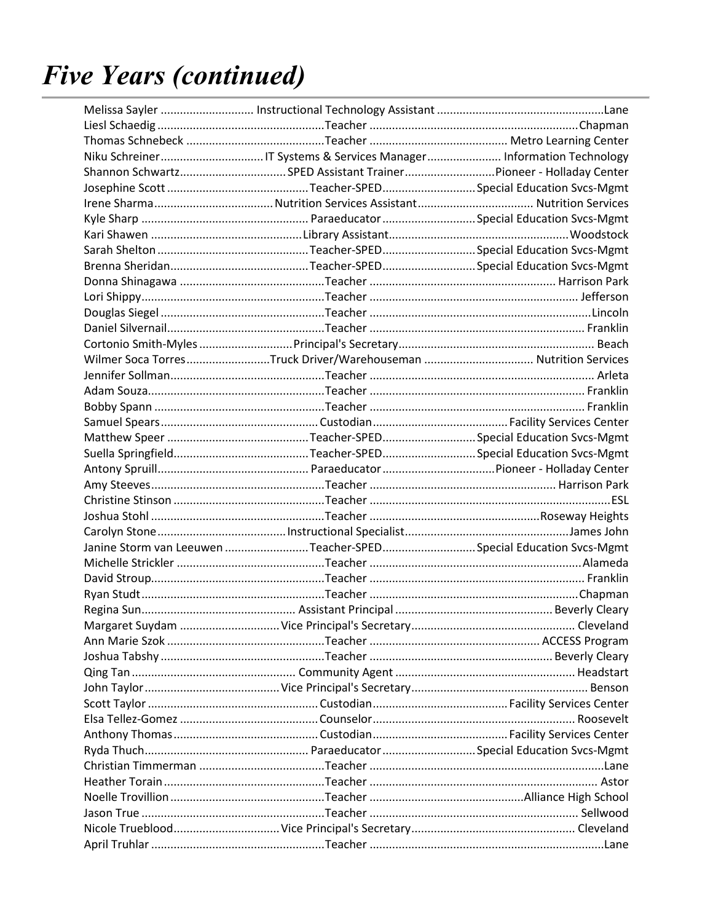| Shannon SchwartzSPED Assistant TrainerPioneer - Holladay Center  |  |
|------------------------------------------------------------------|--|
|                                                                  |  |
|                                                                  |  |
|                                                                  |  |
|                                                                  |  |
|                                                                  |  |
|                                                                  |  |
|                                                                  |  |
|                                                                  |  |
|                                                                  |  |
|                                                                  |  |
|                                                                  |  |
| Wilmer Soca TorresTruck Driver/Warehouseman  Nutrition Services  |  |
|                                                                  |  |
|                                                                  |  |
|                                                                  |  |
|                                                                  |  |
|                                                                  |  |
|                                                                  |  |
|                                                                  |  |
|                                                                  |  |
|                                                                  |  |
|                                                                  |  |
|                                                                  |  |
| Janine Storm van Leeuwen Teacher-SPEDSpecial Education Svcs-Mgmt |  |
|                                                                  |  |
|                                                                  |  |
|                                                                  |  |
|                                                                  |  |
|                                                                  |  |
|                                                                  |  |
|                                                                  |  |
|                                                                  |  |
|                                                                  |  |
|                                                                  |  |
|                                                                  |  |
|                                                                  |  |
|                                                                  |  |
|                                                                  |  |
|                                                                  |  |
|                                                                  |  |
|                                                                  |  |
|                                                                  |  |
|                                                                  |  |